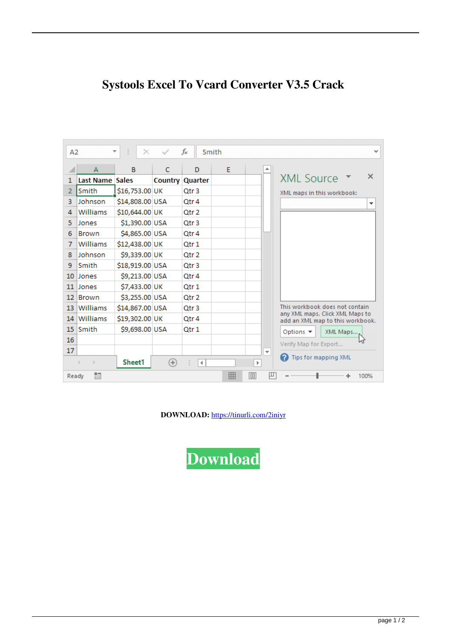| A2                                |                        | ÷<br>$\overline{\phantom{a}}$<br>$\times$ |   | $f_x$                  | Smith |                          | v                                                                  |
|-----------------------------------|------------------------|-------------------------------------------|---|------------------------|-------|--------------------------|--------------------------------------------------------------------|
| ◢                                 | A                      | B                                         | C | D                      | E     | A                        |                                                                    |
| 1                                 | <b>Last Name Sales</b> |                                           |   | <b>Country Quarter</b> |       |                          | ×<br><b>XML Source</b>                                             |
| $\overline{2}$                    | Smith                  | \$16,753.00 UK                            |   | Otr <sub>3</sub>       |       |                          | XML maps in this workbook:                                         |
| 3                                 | Johnson                | \$14,808.00 USA                           |   | Otr <sub>4</sub>       |       |                          | ٠                                                                  |
| 4                                 | Williams               | \$10,644,00 UK                            |   | Otr 2                  |       |                          |                                                                    |
| 5                                 | Jones                  | \$1,390,00 USA                            |   | Otr <sub>3</sub>       |       |                          |                                                                    |
| 6                                 | <b>Brown</b>           | \$4,865.00 USA                            |   | Otr 4                  |       |                          |                                                                    |
| 7                                 | Williams               | \$12,438.00 UK                            |   | Otr 1                  |       |                          |                                                                    |
| 8                                 | Johnson                | \$9,339.00 UK                             |   | Otr 2                  |       |                          |                                                                    |
| 9                                 | Smith                  | \$18,919.00 USA                           |   | Qtr 3                  |       |                          |                                                                    |
| 10                                | <b>Jones</b>           | \$9,213.00 USA                            |   | Otr <sub>4</sub>       |       |                          |                                                                    |
| 11                                | <b>Jones</b>           | \$7,433.00 UK                             |   | Qtr 1                  |       |                          |                                                                    |
| 12                                | <b>Brown</b>           | \$3,255.00 USA                            |   | Otr 2                  |       |                          |                                                                    |
| 13                                | <b>Williams</b>        | \$14,867.00 USA                           |   | Qtr 3                  |       |                          | This workbook does not contain.<br>any XML maps. Click XML Maps to |
| 14                                | Williams               | \$19,302.00 UK                            |   | Qtr 4                  |       |                          | add an XML map to this workbook.                                   |
| 15                                | <b>Smith</b>           | \$9,698.00 USA                            |   | Qtr 1                  |       |                          | Options $\blacktriangledown$<br>XML Maps                           |
| 16                                |                        |                                           |   |                        |       |                          | hy<br>Verify Map for Export                                        |
| 17                                |                        |                                           |   |                        |       | $\overline{\phantom{a}}$ | Q<br>Tips for mapping XML                                          |
|                                   | b.                     | Sheet1                                    | ⊕ | $\blacktriangleleft$   |       | Þ                        |                                                                    |
| 囲<br>雷<br>圓<br>凹<br>100%<br>Ready |                        |                                           |   |                        |       |                          |                                                                    |

## **Systools Excel To Vcard Converter V3.5 Crack**

DOWNLOAD: https://tinurli.com/2iniyr

Download